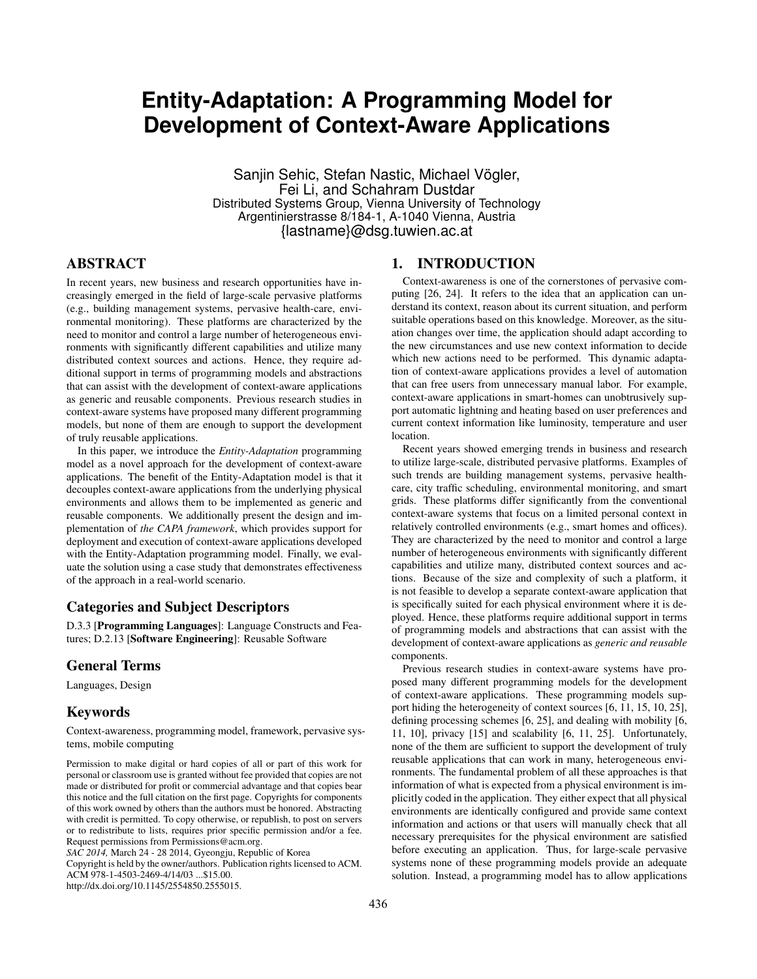# <span id="page-0-0"></span>**Entity-Adaptation: A Programming Model for Development of Context-Aware Applications**

Sanjin Sehic, Stefan Nastic, Michael Vögler, Fei Li, and Schahram Dustdar Distributed Systems Group, Vienna University of Technology Argentinierstrasse 8/184-1, A-1040 Vienna, Austria {lastname}@dsg.tuwien.ac.at

# ABSTRACT

In recent years, new business and research opportunities have increasingly emerged in the field of large-scale pervasive platforms (e.g., building management systems, pervasive health-care, environmental monitoring). These platforms are characterized by the need to monitor and control a large number of heterogeneous environments with significantly different capabilities and utilize many distributed context sources and actions. Hence, they require additional support in terms of programming models and abstractions that can assist with the development of context-aware applications as generic and reusable components. Previous research studies in context-aware systems have proposed many different programming models, but none of them are enough to support the development of truly reusable applications.

In this paper, we introduce the *Entity-Adaptation* programming model as a novel approach for the development of context-aware applications. The benefit of the Entity-Adaptation model is that it decouples context-aware applications from the underlying physical environments and allows them to be implemented as generic and reusable components. We additionally present the design and implementation of *the CAPA framework*, which provides support for deployment and execution of context-aware applications developed with the Entity-Adaptation programming model. Finally, we evaluate the solution using a case study that demonstrates effectiveness of the approach in a real-world scenario.

# Categories and Subject Descriptors

D.3.3 [Programming Languages]: Language Constructs and Features; D.2.13 [Software Engineering]: Reusable Software

# General Terms

Languages, Design

### Keywords

Context-awareness, programming model, framework, pervasive systems, mobile computing

Permission to make digital or hard copies of all or part of this work for personal or classroom use is granted without fee provided that copies are not made or distributed for profit or commercial advantage and that copies bear this notice and the full citation on the first page. Copyrights for components of this work owned by others than the authors must be honored. Abstracting with credit is permitted. To copy otherwise, or republish, to post on servers or to redistribute to lists, requires prior specific permission and/or a fee. Request permissions from [Permissions@acm.org.](mailto:Permissions@acm.org)

*SAC 2014,* March 24 - 28 2014, Gyeongju, Republic of Korea

Copyright is held by the owner/authors. Publication rights licensed to ACM. ACM 978-1-4503-2469-4/14/03 ...\$15.00. [http://dx.doi.org/10.1145/2554850.2555015.](http://dx.doi.org/10.1145/2554850.2555015)

# 1. INTRODUCTION

Context-awareness is one of the cornerstones of pervasive computing [26, 24]. It refers to the idea that an application can understand its context, reason about its current situation, and perform suitable operations based on this knowledge. Moreover, as the situation changes over time, the application should adapt according to the new circumstances and use new context information to decide which new actions need to be performed. This dynamic adaptation of context-aware applications provides a level of automation that can free users from unnecessary manual labor. For example, context-aware applications in smart-homes can unobtrusively support automatic lightning and heating based on user preferences and current context information like luminosity, temperature and user location.

Recent years showed emerging trends in business and research to utilize large-scale, distributed pervasive platforms. Examples of such trends are building management systems, pervasive healthcare, city traffic scheduling, environmental monitoring, and smart grids. These platforms differ significantly from the conventional context-aware systems that focus on a limited personal context in relatively controlled environments (e.g., smart homes and offices). They are characterized by the need to monitor and control a large number of heterogeneous environments with significantly different capabilities and utilize many, distributed context sources and actions. Because of the size and complexity of such a platform, it is not feasible to develop a separate context-aware application that is specifically suited for each physical environment where it is deployed. Hence, these platforms require additional support in terms of programming models and abstractions that can assist with the development of context-aware applications as *generic and reusable* components.

Previous research studies in context-aware systems have proposed many different programming models for the development of context-aware applications. These programming models support hiding the heterogeneity of context sources [6, 11, 15, 10, 25], defining processing schemes [6, 25], and dealing with mobility [6, 11, 10], privacy [15] and scalability [6, 11, 25]. Unfortunately, none of the them are sufficient to support the development of truly reusable applications that can work in many, heterogeneous environments. The fundamental problem of all these approaches is that information of what is expected from a physical environment is implicitly coded in the application. They either expect that all physical environments are identically configured and provide same context information and actions or that users will manually check that all necessary prerequisites for the physical environment are satisfied before executing an application. Thus, for large-scale pervasive systems none of these programming models provide an adequate solution. Instead, a programming model has to allow applications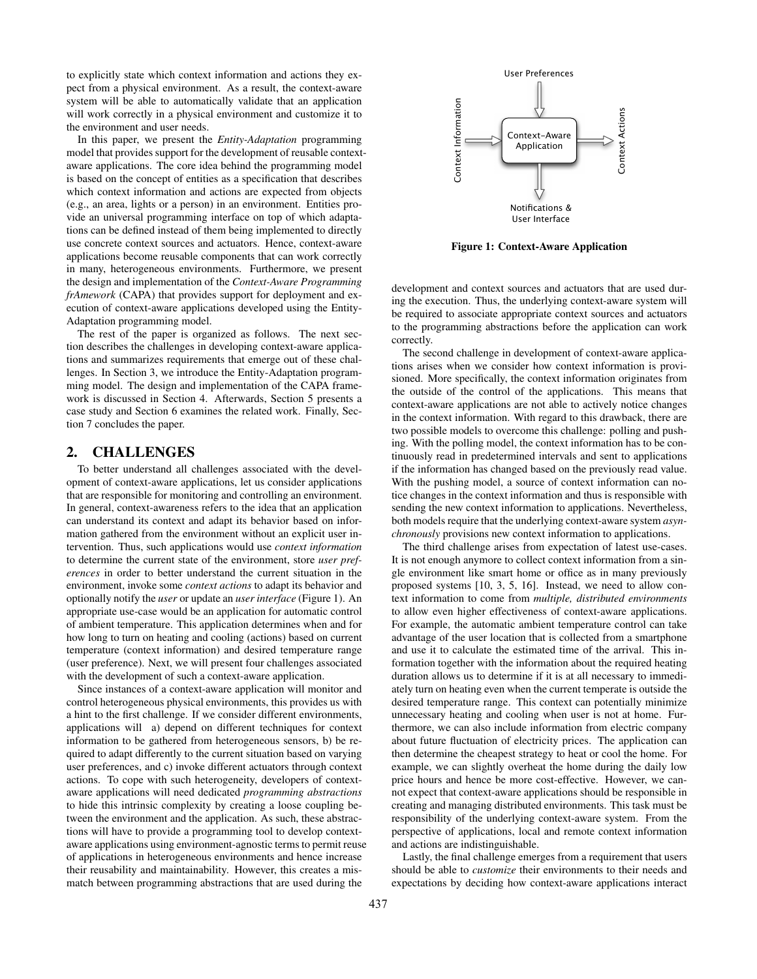to explicitly state which context information and actions they expect from a physical environment. As a result, the context-aware system will be able to automatically validate that an application will work correctly in a physical environment and customize it to the environment and user needs.

In this paper, we present the *Entity-Adaptation* programming model that provides support for the development of reusable contextaware applications. The core idea behind the programming model is based on the concept of entities as a specification that describes which context information and actions are expected from objects (e.g., an area, lights or a person) in an environment. Entities provide an universal programming interface on top of which adaptations can be defined instead of them being implemented to directly use concrete context sources and actuators. Hence, context-aware applications become reusable components that can work correctly in many, heterogeneous environments. Furthermore, we present the design and implementation of the *Context-Aware Programming frAmework* (CAPA) that provides support for deployment and execution of context-aware applications developed using the Entity-Adaptation programming model.

The rest of the paper is organized as follows. The next section describes the challenges in developing context-aware applications and summarizes requirements that emerge out of these challenges. In Section [3,](#page-2-0) we introduce the Entity-Adaptation programming model. The design and implementation of the CAPA framework is discussed in Section [4.](#page-3-0) Afterwards, Section [5](#page-5-0) presents a case study and Section [6](#page-5-1) examines the related work. Finally, Section [7](#page-6-0) concludes the paper.

## <span id="page-1-1"></span>2. CHALLENGES

To better understand all challenges associated with the development of context-aware applications, let us consider applications that are responsible for monitoring and controlling an environment. In general, context-awareness refers to the idea that an application can understand its context and adapt its behavior based on information gathered from the environment without an explicit user intervention. Thus, such applications would use *context information* to determine the current state of the environment, store *user preferences* in order to better understand the current situation in the environment, invoke some *context actions* to adapt its behavior and optionally notify the *user* or update an *user interface* (Figure [1\)](#page-1-0). An appropriate use-case would be an application for automatic control of ambient temperature. This application determines when and for how long to turn on heating and cooling (actions) based on current temperature (context information) and desired temperature range (user preference). Next, we will present four challenges associated with the development of such a context-aware application.

Since instances of a context-aware application will monitor and control heterogeneous physical environments, this provides us with a hint to the first challenge. If we consider different environments, applications will a) depend on different techniques for context information to be gathered from heterogeneous sensors, b) be required to adapt differently to the current situation based on varying user preferences, and c) invoke different actuators through context actions. To cope with such heterogeneity, developers of contextaware applications will need dedicated *programming abstractions* to hide this intrinsic complexity by creating a loose coupling between the environment and the application. As such, these abstractions will have to provide a programming tool to develop contextaware applications using environment-agnostic terms to permit reuse of applications in heterogeneous environments and hence increase their reusability and maintainability. However, this creates a mismatch between programming abstractions that are used during the



<span id="page-1-0"></span>Figure 1: Context-Aware Application

development and context sources and actuators that are used during the execution. Thus, the underlying context-aware system will be required to associate appropriate context sources and actuators to the programming abstractions before the application can work correctly.

The second challenge in development of context-aware applications arises when we consider how context information is provisioned. More specifically, the context information originates from the outside of the control of the applications. This means that context-aware applications are not able to actively notice changes in the context information. With regard to this drawback, there are two possible models to overcome this challenge: polling and pushing. With the polling model, the context information has to be continuously read in predetermined intervals and sent to applications if the information has changed based on the previously read value. With the pushing model, a source of context information can notice changes in the context information and thus is responsible with sending the new context information to applications. Nevertheless, both models require that the underlying context-aware system *asynchronously* provisions new context information to applications.

The third challenge arises from expectation of latest use-cases. It is not enough anymore to collect context information from a single environment like smart home or office as in many previously proposed systems [\[10, 3, 5, 16\]](#page-0-0). Instead, we need to allow context information to come from *multiple, distributed environments* to allow even higher effectiveness of context-aware applications. For example, the automatic ambient temperature control can take advantage of the user location that is collected from a smartphone and use it to calculate the estimated time of the arrival. This information together with the information about the required heating duration allows us to determine if it is at all necessary to immediately turn on heating even when the current temperate is outside the desired temperature range. This context can potentially minimize unnecessary heating and cooling when user is not at home. Furthermore, we can also include information from electric company about future fluctuation of electricity prices. The application can then determine the cheapest strategy to heat or cool the home. For example, we can slightly overheat the home during the daily low price hours and hence be more cost-effective. However, we cannot expect that context-aware applications should be responsible in creating and managing distributed environments. This task must be responsibility of the underlying context-aware system. From the perspective of applications, local and remote context information and actions are indistinguishable.

Lastly, the final challenge emerges from a requirement that users should be able to *customize* their environments to their needs and expectations by deciding how context-aware applications interact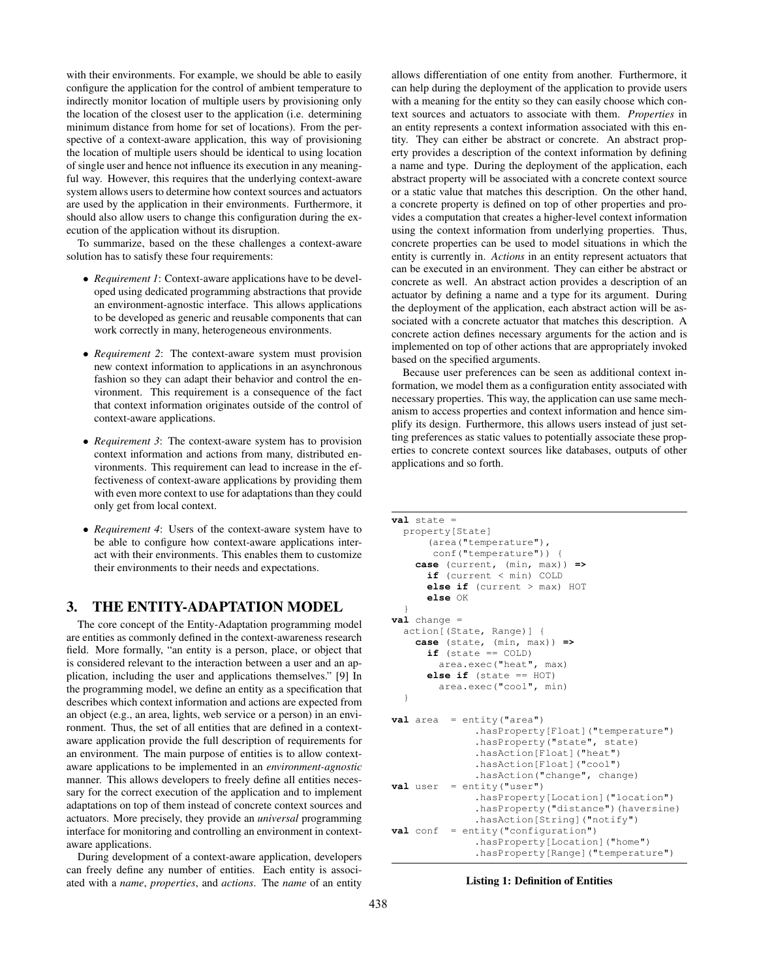with their environments. For example, we should be able to easily configure the application for the control of ambient temperature to indirectly monitor location of multiple users by provisioning only the location of the closest user to the application (i.e. determining minimum distance from home for set of locations). From the perspective of a context-aware application, this way of provisioning the location of multiple users should be identical to using location of single user and hence not influence its execution in any meaningful way. However, this requires that the underlying context-aware system allows users to determine how context sources and actuators are used by the application in their environments. Furthermore, it should also allow users to change this configuration during the execution of the application without its disruption.

To summarize, based on the these challenges a context-aware solution has to satisfy these four requirements:

- *Requirement 1*: Context-aware applications have to be developed using dedicated programming abstractions that provide an environment-agnostic interface. This allows applications to be developed as generic and reusable components that can work correctly in many, heterogeneous environments.
- *Requirement 2*: The context-aware system must provision new context information to applications in an asynchronous fashion so they can adapt their behavior and control the environment. This requirement is a consequence of the fact that context information originates outside of the control of context-aware applications.
- *Requirement 3*: The context-aware system has to provision context information and actions from many, distributed environments. This requirement can lead to increase in the effectiveness of context-aware applications by providing them with even more context to use for adaptations than they could only get from local context.
- *Requirement 4*: Users of the context-aware system have to be able to configure how context-aware applications interact with their environments. This enables them to customize their environments to their needs and expectations.

### <span id="page-2-0"></span>3. THE ENTITY-ADAPTATION MODEL

The core concept of the Entity-Adaptation programming model are entities as commonly defined in the context-awareness research field. More formally, "an entity is a person, place, or object that is considered relevant to the interaction between a user and an application, including the user and applications themselves." [\[9\]](#page-0-0) In the programming model, we define an entity as a specification that describes which context information and actions are expected from an object (e.g., an area, lights, web service or a person) in an environment. Thus, the set of all entities that are defined in a contextaware application provide the full description of requirements for an environment. The main purpose of entities is to allow contextaware applications to be implemented in an *environment-agnostic* manner. This allows developers to freely define all entities necessary for the correct execution of the application and to implement adaptations on top of them instead of concrete context sources and actuators. More precisely, they provide an *universal* programming interface for monitoring and controlling an environment in contextaware applications.

During development of a context-aware application, developers can freely define any number of entities. Each entity is associated with a *name*, *properties*, and *actions*. The *name* of an entity allows differentiation of one entity from another. Furthermore, it can help during the deployment of the application to provide users with a meaning for the entity so they can easily choose which context sources and actuators to associate with them. *Properties* in an entity represents a context information associated with this entity. They can either be abstract or concrete. An abstract property provides a description of the context information by defining a name and type. During the deployment of the application, each abstract property will be associated with a concrete context source or a static value that matches this description. On the other hand, a concrete property is defined on top of other properties and provides a computation that creates a higher-level context information using the context information from underlying properties. Thus, concrete properties can be used to model situations in which the entity is currently in. *Actions* in an entity represent actuators that can be executed in an environment. They can either be abstract or concrete as well. An abstract action provides a description of an actuator by defining a name and a type for its argument. During the deployment of the application, each abstract action will be associated with a concrete actuator that matches this description. A concrete action defines necessary arguments for the action and is implemented on top of other actions that are appropriately invoked based on the specified arguments.

Because user preferences can be seen as additional context information, we model them as a configuration entity associated with necessary properties. This way, the application can use same mechanism to access properties and context information and hence simplify its design. Furthermore, this allows users instead of just setting preferences as static values to potentially associate these properties to concrete context sources like databases, outputs of other applications and so forth.

```
val state =
 property[State]
      (area("temperature"),
       conf("temperature")) {
    case (current, (min, max)) =>
      if (current < min) COLD
      else if (current > max) HOT
      else OK
  }
val change =
  action[(State, Range)] {
    case (state, (min, max)) =>
      if (state == COLD)
        area.exec("heat", max)
      else if (state == HOT)
        area.exec("cool", min)
  }
val area = entity("area")
              .hasProperty[Float]("temperature")
              .hasProperty("state", state)
              .hasAction[Float]("heat")
              .hasAction[Float]("cool")
              .hasAction("change", change)
val user = entity("user")
              .hasProperty[Location]("location")
              .hasProperty("distance")(haversine)
              .hasAction[String]("notify")
val conf = entity("configuration")
              .hasProperty[Location]("home")
              .hasProperty[Range]("temperature")
```
Listing 1: Definition of Entities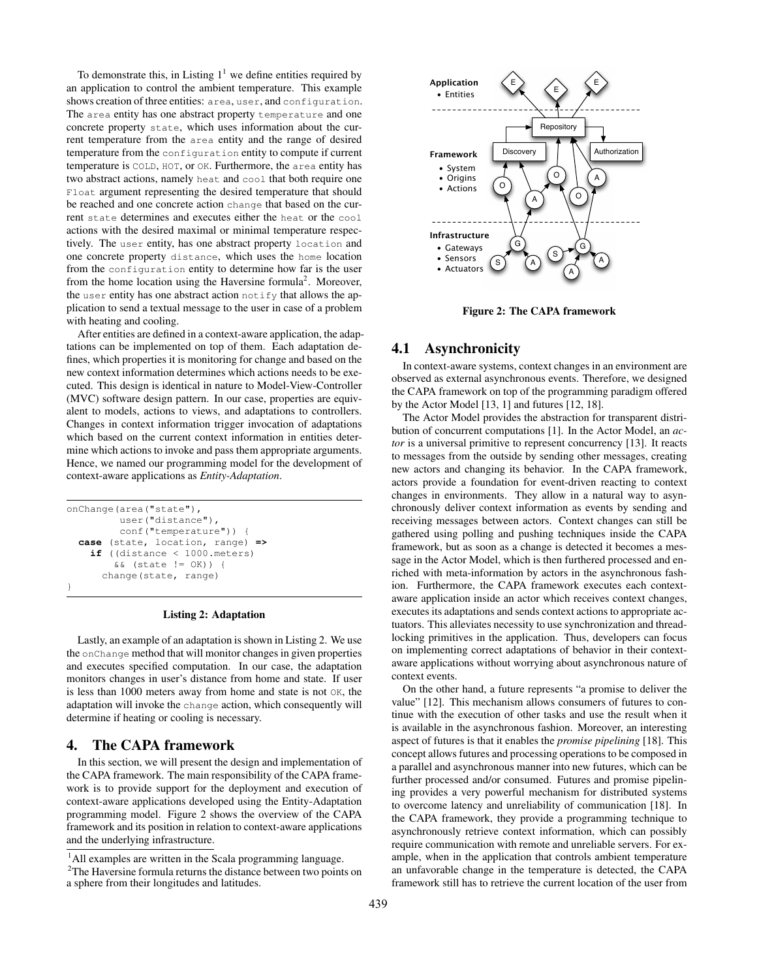To demonstrate this, in Listing  $1<sup>1</sup>$  $1<sup>1</sup>$  we define entities required by an application to control the ambient temperature. This example shows creation of three entities: area, user, and configuration. The area entity has one abstract property temperature and one concrete property state, which uses information about the current temperature from the area entity and the range of desired temperature from the configuration entity to compute if current temperature is COLD, HOT, or OK. Furthermore, the area entity has two abstract actions, namely heat and cool that both require one Float argument representing the desired temperature that should be reached and one concrete action change that based on the current state determines and executes either the heat or the cool actions with the desired maximal or minimal temperature respectively. The user entity, has one abstract property location and one concrete property distance, which uses the home location from the configuration entity to determine how far is the user from the home location using the Haversine formula<sup>[2](#page-3-2)</sup>. Moreover, the user entity has one abstract action notify that allows the application to send a textual message to the user in case of a problem with heating and cooling.

After entities are defined in a context-aware application, the adaptations can be implemented on top of them. Each adaptation defines, which properties it is monitoring for change and based on the new context information determines which actions needs to be executed. This design is identical in nature to Model-View-Controller (MVC) software design pattern. In our case, properties are equivalent to models, actions to views, and adaptations to controllers. Changes in context information trigger invocation of adaptations which based on the current context information in entities determine which actions to invoke and pass them appropriate arguments. Hence, we named our programming model for the development of context-aware applications as *Entity-Adaptation*.

```
onChange(area("state"),
         user("distance"),
         conf("temperature")) {
  case (state, location, range) =>
    if ((distance < 1000.meters)
        && (state != OK)) {
      change(state, range)
}
```
#### Listing 2: Adaptation

Lastly, an example of an adaptation is shown in Listing [2.](#page-3-3) We use the onChange method that will monitor changes in given properties and executes specified computation. In our case, the adaptation monitors changes in user's distance from home and state. If user is less than 1000 meters away from home and state is not OK, the adaptation will invoke the change action, which consequently will determine if heating or cooling is necessary.

### <span id="page-3-0"></span>4. The CAPA framework

In this section, we will present the design and implementation of the CAPA framework. The main responsibility of the CAPA framework is to provide support for the deployment and execution of context-aware applications developed using the Entity-Adaptation programming model. Figure [2](#page-3-4) shows the overview of the CAPA framework and its position in relation to context-aware applications and the underlying infrastructure.



<span id="page-3-4"></span>Figure 2: The CAPA framework

#### 4.1 Asynchronicity

In context-aware systems, context changes in an environment are observed as external asynchronous events. Therefore, we designed the CAPA framework on top of the programming paradigm offered by the Actor Model [\[13, 1\]](#page-0-0) and futures [\[12, 18\]](#page-0-0).

The Actor Model provides the abstraction for transparent distribution of concurrent computations [\[1\]](#page-0-0). In the Actor Model, an *actor* is a universal primitive to represent concurrency [\[13\]](#page-0-0). It reacts to messages from the outside by sending other messages, creating new actors and changing its behavior. In the CAPA framework, actors provide a foundation for event-driven reacting to context changes in environments. They allow in a natural way to asynchronously deliver context information as events by sending and receiving messages between actors. Context changes can still be gathered using polling and pushing techniques inside the CAPA framework, but as soon as a change is detected it becomes a message in the Actor Model, which is then furthered processed and enriched with meta-information by actors in the asynchronous fashion. Furthermore, the CAPA framework executes each contextaware application inside an actor which receives context changes, executes its adaptations and sends context actions to appropriate actuators. This alleviates necessity to use synchronization and threadlocking primitives in the application. Thus, developers can focus on implementing correct adaptations of behavior in their contextaware applications without worrying about asynchronous nature of context events.

On the other hand, a future represents "a promise to deliver the value" [\[12\]](#page-0-0). This mechanism allows consumers of futures to continue with the execution of other tasks and use the result when it is available in the asynchronous fashion. Moreover, an interesting aspect of futures is that it enables the *promise pipelining* [\[18\]](#page-0-0). This concept allows futures and processing operations to be composed in a parallel and asynchronous manner into new futures, which can be further processed and/or consumed. Futures and promise pipelining provides a very powerful mechanism for distributed systems to overcome latency and unreliability of communication [\[18\]](#page-0-0). In the CAPA framework, they provide a programming technique to asynchronously retrieve context information, which can possibly require communication with remote and unreliable servers. For example, when in the application that controls ambient temperature an unfavorable change in the temperature is detected, the CAPA framework still has to retrieve the current location of the user from

<span id="page-3-1"></span> $<sup>1</sup>$ All examples are written in the Scala programming language.</sup>

<span id="page-3-2"></span><sup>&</sup>lt;sup>2</sup>The Haversine formula returns the distance between two points on

a sphere from their longitudes and latitudes.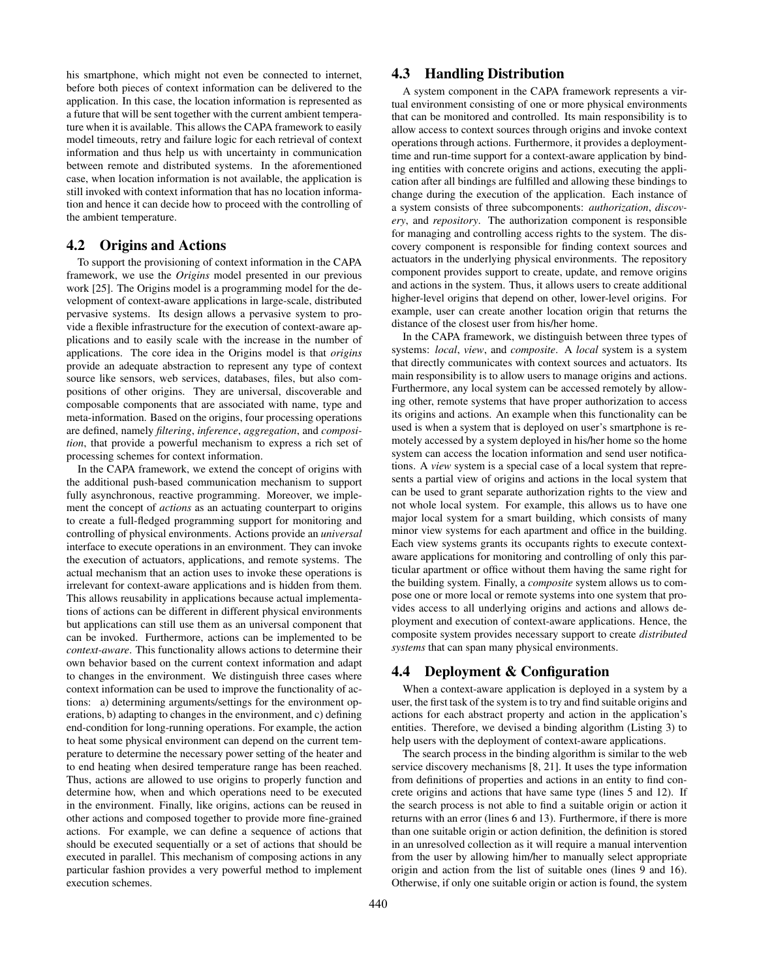his smartphone, which might not even be connected to internet, before both pieces of context information can be delivered to the application. In this case, the location information is represented as a future that will be sent together with the current ambient temperature when it is available. This allows the CAPA framework to easily model timeouts, retry and failure logic for each retrieval of context information and thus help us with uncertainty in communication between remote and distributed systems. In the aforementioned case, when location information is not available, the application is still invoked with context information that has no location information and hence it can decide how to proceed with the controlling of the ambient temperature.

# 4.2 Origins and Actions

To support the provisioning of context information in the CAPA framework, we use the *Origins* model presented in our previous work [\[25\]](#page-0-0). The Origins model is a programming model for the development of context-aware applications in large-scale, distributed pervasive systems. Its design allows a pervasive system to provide a flexible infrastructure for the execution of context-aware applications and to easily scale with the increase in the number of applications. The core idea in the Origins model is that *origins* provide an adequate abstraction to represent any type of context source like sensors, web services, databases, files, but also compositions of other origins. They are universal, discoverable and composable components that are associated with name, type and meta-information. Based on the origins, four processing operations are defined, namely *filtering*, *inference*, *aggregation*, and *composition*, that provide a powerful mechanism to express a rich set of processing schemes for context information.

In the CAPA framework, we extend the concept of origins with the additional push-based communication mechanism to support fully asynchronous, reactive programming. Moreover, we implement the concept of *actions* as an actuating counterpart to origins to create a full-fledged programming support for monitoring and controlling of physical environments. Actions provide an *universal* interface to execute operations in an environment. They can invoke the execution of actuators, applications, and remote systems. The actual mechanism that an action uses to invoke these operations is irrelevant for context-aware applications and is hidden from them. This allows reusability in applications because actual implementations of actions can be different in different physical environments but applications can still use them as an universal component that can be invoked. Furthermore, actions can be implemented to be *context-aware*. This functionality allows actions to determine their own behavior based on the current context information and adapt to changes in the environment. We distinguish three cases where context information can be used to improve the functionality of actions: a) determining arguments/settings for the environment operations, b) adapting to changes in the environment, and c) defining end-condition for long-running operations. For example, the action to heat some physical environment can depend on the current temperature to determine the necessary power setting of the heater and to end heating when desired temperature range has been reached. Thus, actions are allowed to use origins to properly function and determine how, when and which operations need to be executed in the environment. Finally, like origins, actions can be reused in other actions and composed together to provide more fine-grained actions. For example, we can define a sequence of actions that should be executed sequentially or a set of actions that should be executed in parallel. This mechanism of composing actions in any particular fashion provides a very powerful method to implement execution schemes.

# 4.3 Handling Distribution

A system component in the CAPA framework represents a virtual environment consisting of one or more physical environments that can be monitored and controlled. Its main responsibility is to allow access to context sources through origins and invoke context operations through actions. Furthermore, it provides a deploymenttime and run-time support for a context-aware application by binding entities with concrete origins and actions, executing the application after all bindings are fulfilled and allowing these bindings to change during the execution of the application. Each instance of a system consists of three subcomponents: *authorization*, *discovery*, and *repository*. The authorization component is responsible for managing and controlling access rights to the system. The discovery component is responsible for finding context sources and actuators in the underlying physical environments. The repository component provides support to create, update, and remove origins and actions in the system. Thus, it allows users to create additional higher-level origins that depend on other, lower-level origins. For example, user can create another location origin that returns the distance of the closest user from his/her home.

In the CAPA framework, we distinguish between three types of systems: *local*, *view*, and *composite*. A *local* system is a system that directly communicates with context sources and actuators. Its main responsibility is to allow users to manage origins and actions. Furthermore, any local system can be accessed remotely by allowing other, remote systems that have proper authorization to access its origins and actions. An example when this functionality can be used is when a system that is deployed on user's smartphone is remotely accessed by a system deployed in his/her home so the home system can access the location information and send user notifications. A *view* system is a special case of a local system that represents a partial view of origins and actions in the local system that can be used to grant separate authorization rights to the view and not whole local system. For example, this allows us to have one major local system for a smart building, which consists of many minor view systems for each apartment and office in the building. Each view systems grants its occupants rights to execute contextaware applications for monitoring and controlling of only this particular apartment or office without them having the same right for the building system. Finally, a *composite* system allows us to compose one or more local or remote systems into one system that provides access to all underlying origins and actions and allows deployment and execution of context-aware applications. Hence, the composite system provides necessary support to create *distributed systems* that can span many physical environments.

# 4.4 Deployment & Configuration

When a context-aware application is deployed in a system by a user, the first task of the system is to try and find suitable origins and actions for each abstract property and action in the application's entities. Therefore, we devised a binding algorithm (Listing [3\)](#page-5-2) to help users with the deployment of context-aware applications.

The search process in the binding algorithm is similar to the web service discovery mechanisms [\[8, 21\]](#page-0-0). It uses the type information from definitions of properties and actions in an entity to find concrete origins and actions that have same type (lines 5 and 12). If the search process is not able to find a suitable origin or action it returns with an error (lines 6 and 13). Furthermore, if there is more than one suitable origin or action definition, the definition is stored in an unresolved collection as it will require a manual intervention from the user by allowing him/her to manually select appropriate origin and action from the list of suitable ones (lines 9 and 16). Otherwise, if only one suitable origin or action is found, the system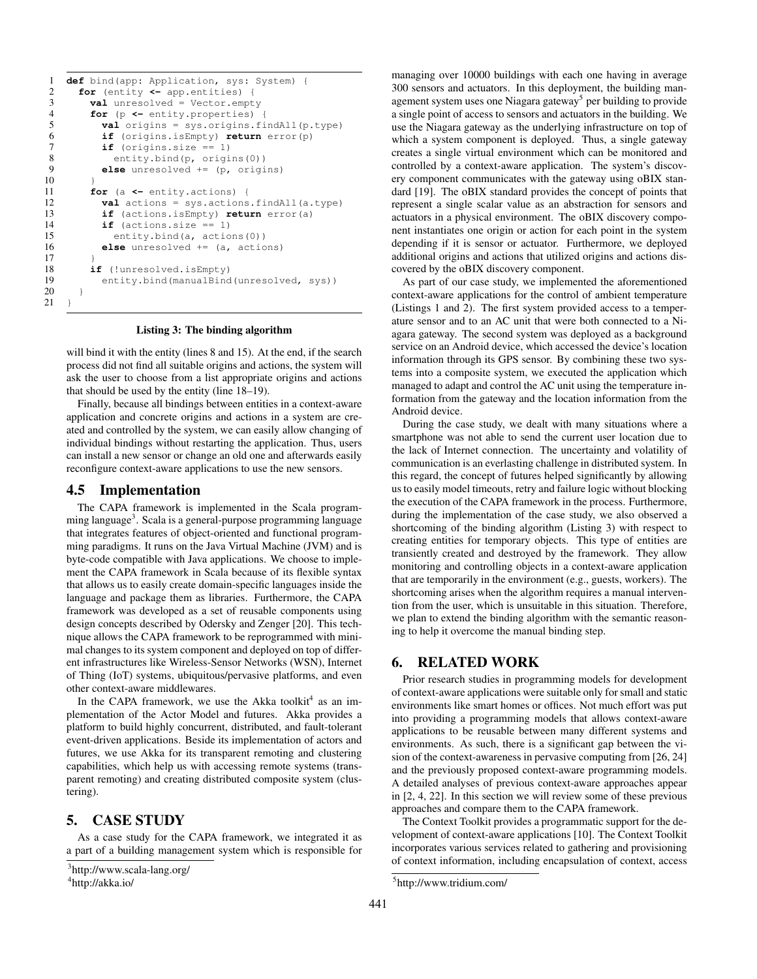```
1 def bind(app: Application, sys: System)<br>2 for (entity \leq app.entities) {
 2 for (entity <- app.entities) {
 3 val unresolved = Vector.empty
 4 for (p <- entity.properties) {
           val origins = sys.origins.findAll(p.type)
 6 if (origins.isEmpty) return error(p)
 7 if (origins.size == 1)
 8 entity.bind(p, origins(0))<br>9 else unresolved t = (p, \text{ origin})else unresolved += (p, origins)
10 }
11 for (a <- entity.actions) {<br>12 val actions = sys.actions
           val actions = sys.actions.findAll(a.type)
13 if (actions.isEmpty) return error(a)
14 if (actions.size == 1)<br>15 partify.bind(a, action
              entity.bind(a, actions(0))
16 else unresolved += (a, actions)
17 }
18 if (!unresolved.isEmpty)<br>19 entity.bind(manualBind
           entity.bind(manualBind(unresolved, sys))
20 }
21 }
```
Listing 3: The binding algorithm

will bind it with the entity (lines 8 and 15). At the end, if the search process did not find all suitable origins and actions, the system will ask the user to choose from a list appropriate origins and actions that should be used by the entity (line 18–19).

Finally, because all bindings between entities in a context-aware application and concrete origins and actions in a system are created and controlled by the system, we can easily allow changing of individual bindings without restarting the application. Thus, users can install a new sensor or change an old one and afterwards easily reconfigure context-aware applications to use the new sensors.

#### 4.5 Implementation

The CAPA framework is implemented in the Scala program-ming language<sup>[3](#page-5-3)</sup>. Scala is a general-purpose programming language that integrates features of object-oriented and functional programming paradigms. It runs on the Java Virtual Machine (JVM) and is byte-code compatible with Java applications. We choose to implement the CAPA framework in Scala because of its flexible syntax that allows us to easily create domain-specific languages inside the language and package them as libraries. Furthermore, the CAPA framework was developed as a set of reusable components using design concepts described by Odersky and Zenger [\[20\]](#page-0-0). This technique allows the CAPA framework to be reprogrammed with minimal changes to its system component and deployed on top of different infrastructures like Wireless-Sensor Networks (WSN), Internet of Thing (IoT) systems, ubiquitous/pervasive platforms, and even other context-aware middlewares.

In the CAPA framework, we use the Akka toolkit<sup>[4](#page-5-4)</sup> as an implementation of the Actor Model and futures. Akka provides a platform to build highly concurrent, distributed, and fault-tolerant event-driven applications. Beside its implementation of actors and futures, we use Akka for its transparent remoting and clustering capabilities, which help us with accessing remote systems (transparent remoting) and creating distributed composite system (clustering).

### <span id="page-5-0"></span>5. CASE STUDY

As a case study for the CAPA framework, we integrated it as a part of a building management system which is responsible for

<span id="page-5-4"></span>4 <http://akka.io/>

managing over 10000 buildings with each one having in average 300 sensors and actuators. In this deployment, the building man-agement system uses one Niagara gateway<sup>[5](#page-5-5)</sup> per building to provide a single point of access to sensors and actuators in the building. We use the Niagara gateway as the underlying infrastructure on top of which a system component is deployed. Thus, a single gateway creates a single virtual environment which can be monitored and controlled by a context-aware application. The system's discovery component communicates with the gateway using oBIX standard [\[19\]](#page-0-0). The oBIX standard provides the concept of points that represent a single scalar value as an abstraction for sensors and actuators in a physical environment. The oBIX discovery component instantiates one origin or action for each point in the system depending if it is sensor or actuator. Furthermore, we deployed additional origins and actions that utilized origins and actions discovered by the oBIX discovery component.

As part of our case study, we implemented the aforementioned context-aware applications for the control of ambient temperature (Listings [1](#page-2-1) and [2\)](#page-3-3). The first system provided access to a temperature sensor and to an AC unit that were both connected to a Niagara gateway. The second system was deployed as a background service on an Android device, which accessed the device's location information through its GPS sensor. By combining these two systems into a composite system, we executed the application which managed to adapt and control the AC unit using the temperature information from the gateway and the location information from the Android device.

During the case study, we dealt with many situations where a smartphone was not able to send the current user location due to the lack of Internet connection. The uncertainty and volatility of communication is an everlasting challenge in distributed system. In this regard, the concept of futures helped significantly by allowing us to easily model timeouts, retry and failure logic without blocking the execution of the CAPA framework in the process. Furthermore, during the implementation of the case study, we also observed a shortcoming of the binding algorithm (Listing [3\)](#page-5-2) with respect to creating entities for temporary objects. This type of entities are transiently created and destroyed by the framework. They allow monitoring and controlling objects in a context-aware application that are temporarily in the environment (e.g., guests, workers). The shortcoming arises when the algorithm requires a manual intervention from the user, which is unsuitable in this situation. Therefore, we plan to extend the binding algorithm with the semantic reasoning to help it overcome the manual binding step.

# <span id="page-5-1"></span>6. RELATED WORK

Prior research studies in programming models for development of context-aware applications were suitable only for small and static environments like smart homes or offices. Not much effort was put into providing a programming models that allows context-aware applications to be reusable between many different systems and environments. As such, there is a significant gap between the vision of the context-awareness in pervasive computing from [\[26, 24\]](#page-0-0) and the previously proposed context-aware programming models. A detailed analyses of previous context-aware approaches appear in [\[2, 4, 22\]](#page-0-0). In this section we will review some of these previous approaches and compare them to the CAPA framework.

The Context Toolkit provides a programmatic support for the development of context-aware applications [\[10\]](#page-0-0). The Context Toolkit incorporates various services related to gathering and provisioning of context information, including encapsulation of context, access

<span id="page-5-3"></span><sup>3</sup> <http://www.scala-lang.org/>

<span id="page-5-5"></span><sup>5</sup> <http://www.tridium.com/>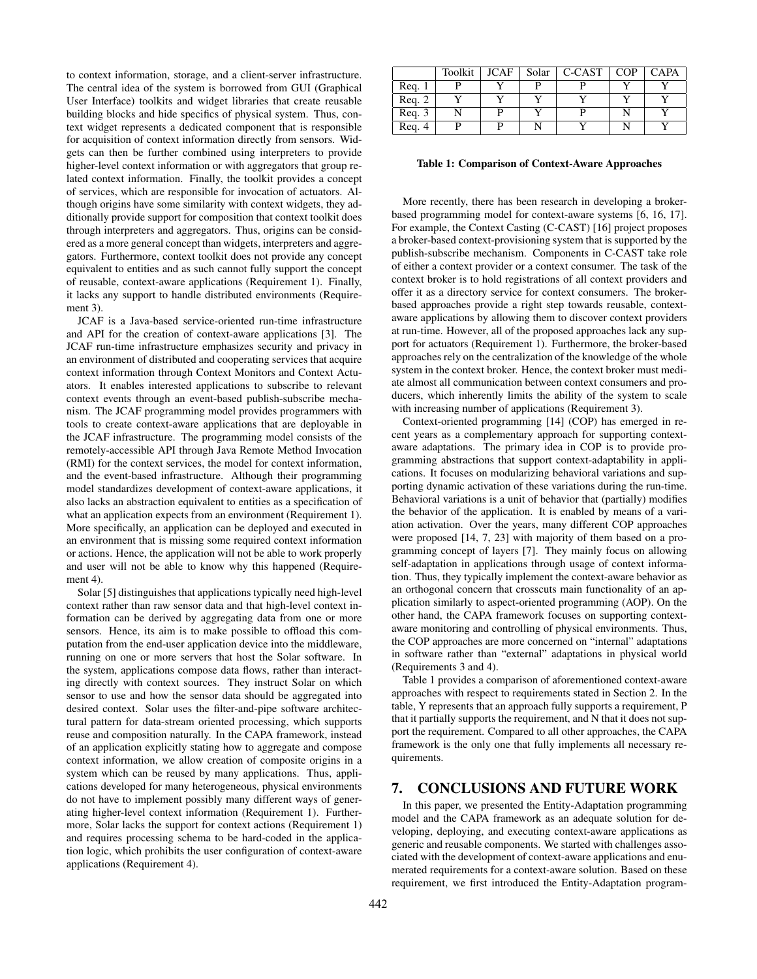to context information, storage, and a client-server infrastructure. The central idea of the system is borrowed from GUI (Graphical User Interface) toolkits and widget libraries that create reusable building blocks and hide specifics of physical system. Thus, context widget represents a dedicated component that is responsible for acquisition of context information directly from sensors. Widgets can then be further combined using interpreters to provide higher-level context information or with aggregators that group related context information. Finally, the toolkit provides a concept of services, which are responsible for invocation of actuators. Although origins have some similarity with context widgets, they additionally provide support for composition that context toolkit does through interpreters and aggregators. Thus, origins can be considered as a more general concept than widgets, interpreters and aggregators. Furthermore, context toolkit does not provide any concept equivalent to entities and as such cannot fully support the concept of reusable, context-aware applications (Requirement 1). Finally, it lacks any support to handle distributed environments (Requirement 3).

JCAF is a Java-based service-oriented run-time infrastructure and API for the creation of context-aware applications [\[3\]](#page-0-0). The JCAF run-time infrastructure emphasizes security and privacy in an environment of distributed and cooperating services that acquire context information through Context Monitors and Context Actuators. It enables interested applications to subscribe to relevant context events through an event-based publish-subscribe mechanism. The JCAF programming model provides programmers with tools to create context-aware applications that are deployable in the JCAF infrastructure. The programming model consists of the remotely-accessible API through Java Remote Method Invocation (RMI) for the context services, the model for context information, and the event-based infrastructure. Although their programming model standardizes development of context-aware applications, it also lacks an abstraction equivalent to entities as a specification of what an application expects from an environment (Requirement 1). More specifically, an application can be deployed and executed in an environment that is missing some required context information or actions. Hence, the application will not be able to work properly and user will not be able to know why this happened (Requirement 4).

Solar [\[5\]](#page-0-0) distinguishes that applications typically need high-level context rather than raw sensor data and that high-level context information can be derived by aggregating data from one or more sensors. Hence, its aim is to make possible to offload this computation from the end-user application device into the middleware, running on one or more servers that host the Solar software. In the system, applications compose data flows, rather than interacting directly with context sources. They instruct Solar on which sensor to use and how the sensor data should be aggregated into desired context. Solar uses the filter-and-pipe software architectural pattern for data-stream oriented processing, which supports reuse and composition naturally. In the CAPA framework, instead of an application explicitly stating how to aggregate and compose context information, we allow creation of composite origins in a system which can be reused by many applications. Thus, applications developed for many heterogeneous, physical environments do not have to implement possibly many different ways of generating higher-level context information (Requirement 1). Furthermore, Solar lacks the support for context actions (Requirement 1) and requires processing schema to be hard-coded in the application logic, which prohibits the user configuration of context-aware applications (Requirement 4).

|       | Toolkit | <b>JCAF</b> | Solar | C-CAST   COP | <b>CAPA</b> |
|-------|---------|-------------|-------|--------------|-------------|
| Req.1 |         |             |       |              |             |
| Req.2 |         |             |       |              |             |
| Req.3 |         |             |       |              |             |
| Req.4 |         |             |       |              |             |

#### <span id="page-6-1"></span>Table 1: Comparison of Context-Aware Approaches

More recently, there has been research in developing a brokerbased programming model for context-aware systems [\[6, 16, 17\]](#page-0-0). For example, the Context Casting (C-CAST) [\[16\]](#page-0-0) project proposes a broker-based context-provisioning system that is supported by the publish-subscribe mechanism. Components in C-CAST take role of either a context provider or a context consumer. The task of the context broker is to hold registrations of all context providers and offer it as a directory service for context consumers. The brokerbased approaches provide a right step towards reusable, contextaware applications by allowing them to discover context providers at run-time. However, all of the proposed approaches lack any support for actuators (Requirement 1). Furthermore, the broker-based approaches rely on the centralization of the knowledge of the whole system in the context broker. Hence, the context broker must mediate almost all communication between context consumers and producers, which inherently limits the ability of the system to scale with increasing number of applications (Requirement 3).

Context-oriented programming [\[14\]](#page-0-0) (COP) has emerged in recent years as a complementary approach for supporting contextaware adaptations. The primary idea in COP is to provide programming abstractions that support context-adaptability in applications. It focuses on modularizing behavioral variations and supporting dynamic activation of these variations during the run-time. Behavioral variations is a unit of behavior that (partially) modifies the behavior of the application. It is enabled by means of a variation activation. Over the years, many different COP approaches were proposed [\[14, 7, 23\]](#page-0-0) with majority of them based on a programming concept of layers [\[7\]](#page-0-0). They mainly focus on allowing self-adaptation in applications through usage of context information. Thus, they typically implement the context-aware behavior as an orthogonal concern that crosscuts main functionality of an application similarly to aspect-oriented programming (AOP). On the other hand, the CAPA framework focuses on supporting contextaware monitoring and controlling of physical environments. Thus, the COP approaches are more concerned on "internal" adaptations in software rather than "external" adaptations in physical world (Requirements 3 and 4).

Table [1](#page-6-1) provides a comparison of aforementioned context-aware approaches with respect to requirements stated in Section [2.](#page-1-1) In the table, Y represents that an approach fully supports a requirement, P that it partially supports the requirement, and N that it does not support the requirement. Compared to all other approaches, the CAPA framework is the only one that fully implements all necessary requirements.

# <span id="page-6-0"></span>7. CONCLUSIONS AND FUTURE WORK

In this paper, we presented the Entity-Adaptation programming model and the CAPA framework as an adequate solution for developing, deploying, and executing context-aware applications as generic and reusable components. We started with challenges associated with the development of context-aware applications and enumerated requirements for a context-aware solution. Based on these requirement, we first introduced the Entity-Adaptation program